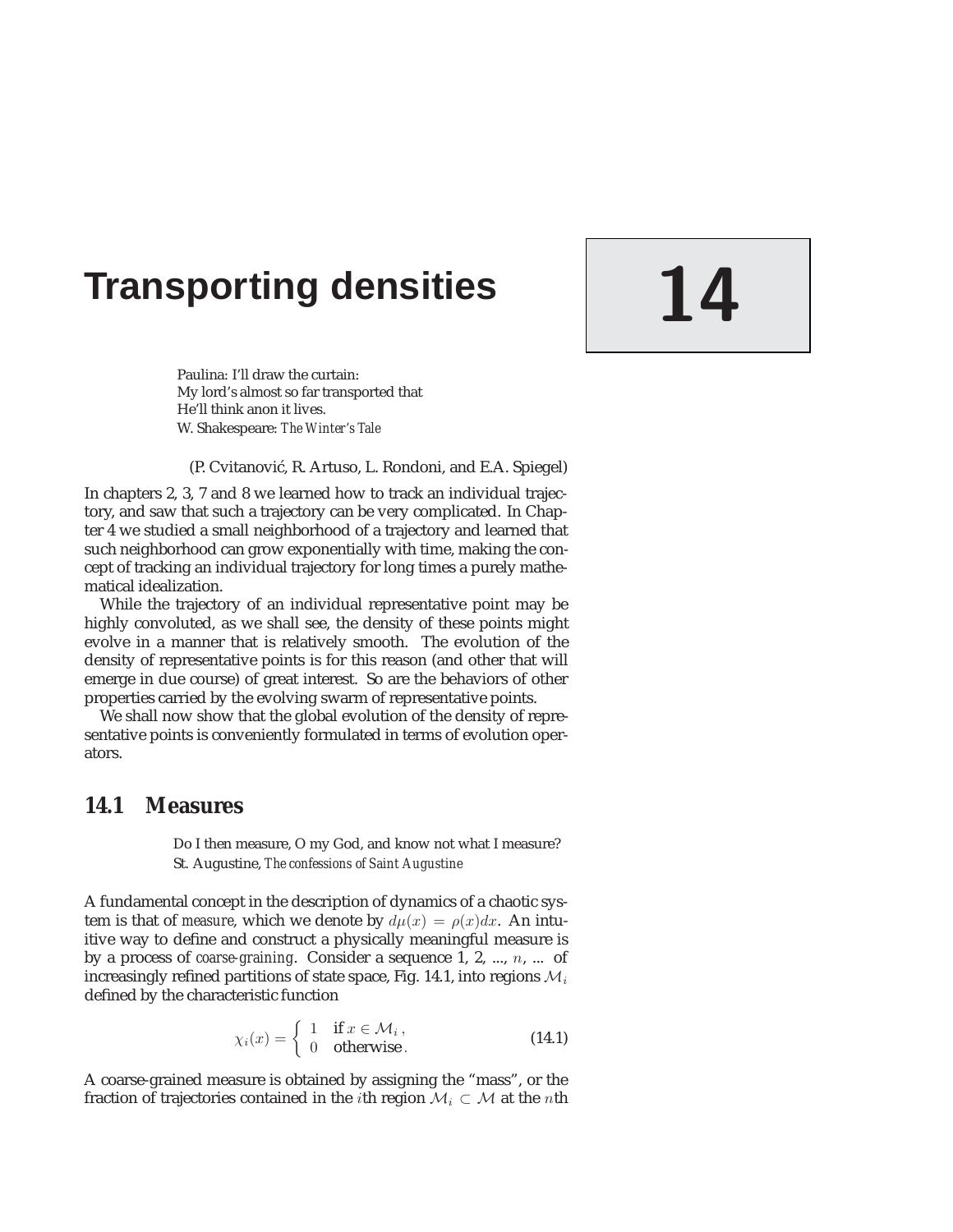# **Transporting densities 14**

Paulina: I'll draw the curtain: My lord's almost so far transported that He'll think anon it lives. W. Shakespeare: *The Winter's Tale*

(P. Cvitanović, R. Artuso, L. Rondoni, and E.A. Spiegel)

In chapters 2, 3, 7 and 8 we learned how to track an individual trajectory, and saw that such a trajectory can be very complicated. In Chapter 4 we studied a small neighborhood of a trajectory and learned that such neighborhood can grow exponentially with time, making the concept of tracking an individual trajectory for long times a purely mathematical idealization.

While the trajectory of an individual representative point may be highly convoluted, as we shall see, the density of these points might evolve in a manner that is relatively smooth. The evolution of the density of representative points is for this reason (and other that will emerge in due course) of great interest. So are the behaviors of other properties carried by the evolving swarm of representative points.

We shall now show that the global evolution of the density of representative points is conveniently formulated in terms of evolution operators.

# **14.1 Measures**

Do I then measure, O my God, and know not what I measure? St. Augustine, *The confessions of Saint Augustine*

A fundamental concept in the description of dynamics of a chaotic system is that of *measure*, which we denote by  $d\mu(x) = \rho(x)dx$ . An intuitive way to define and construct a physically meaningful measure is by a process of *coarse-graining*. Consider a sequence 1, 2, ..., n, ... of increasingly refined partitions of state space, Fig. 14.1, into regions  $\mathcal{M}_i$ defined by the characteristic function

$$
\chi_i(x) = \begin{cases} 1 & \text{if } x \in \mathcal{M}_i, \\ 0 & \text{otherwise.} \end{cases}
$$
 (14.1)

A coarse-grained measure is obtained by assigning the "mass", or the fraction of trajectories contained in the *i*th region  $\mathcal{M}_i \subset \mathcal{M}$  at the *n*th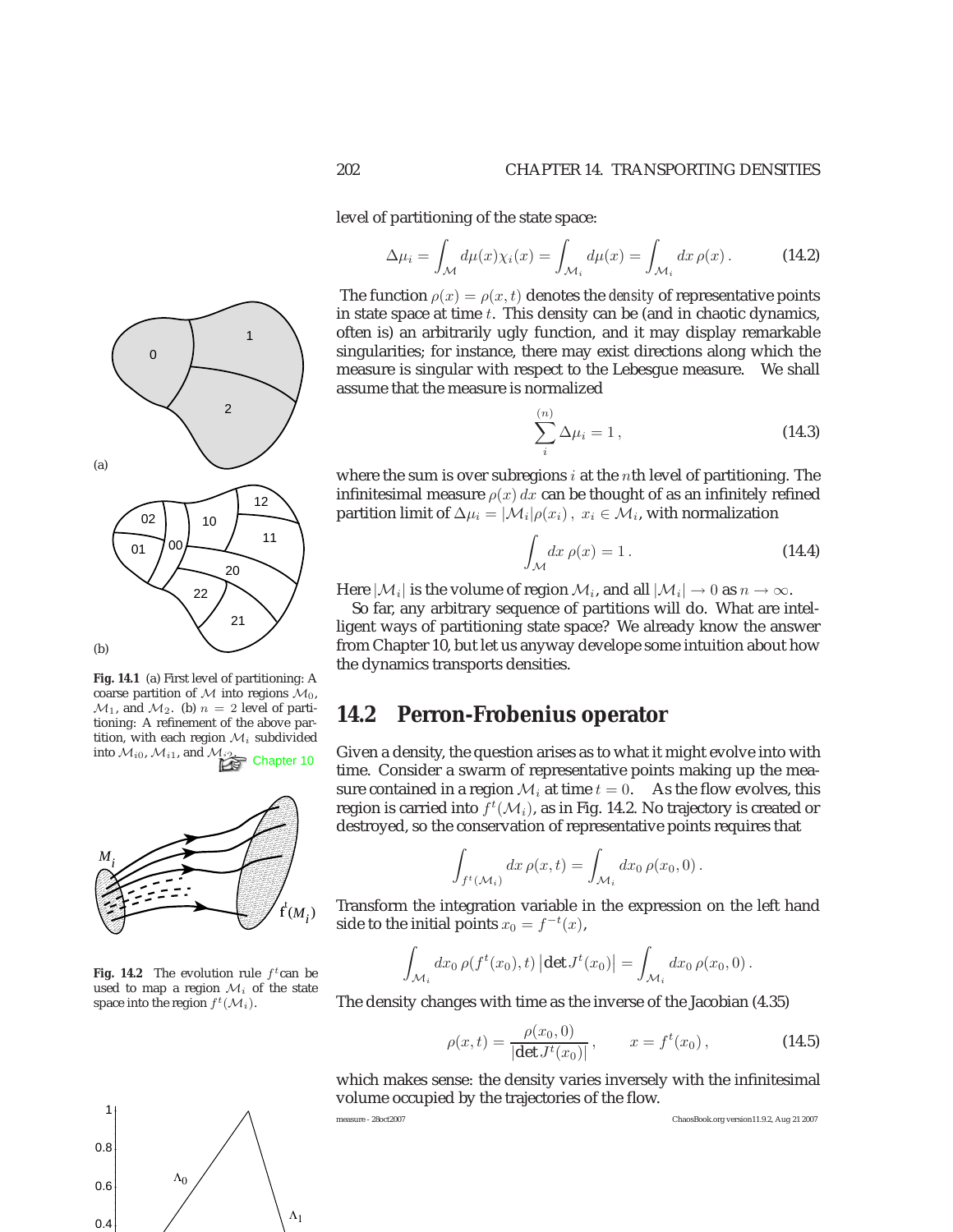level of partitioning of the state space:

$$
\Delta \mu_i = \int_{\mathcal{M}} d\mu(x) \chi_i(x) = \int_{\mathcal{M}_i} d\mu(x) = \int_{\mathcal{M}_i} dx \, \rho(x) \,. \tag{14.2}
$$

The function  $\rho(x) = \rho(x, t)$  denotes the *density* of representative points in state space at time  $t$ . This density can be (and in chaotic dynamics, often is) an arbitrarily ugly function, and it may display remarkable singularities; for instance, there may exist directions along which the measure is singular with respect to the Lebesgue measure. We shall assume that the measure is normalized

$$
\sum_{i}^{(n)} \Delta \mu_i = 1, \qquad (14.3)
$$

where the sum is over subregions i at the nth level of partitioning. The infinitesimal measure  $\rho(x) dx$  can be thought of as an infinitely refined partition limit of  $\Delta \mu_i = |\mathcal{M}_i| \rho(x_i)$ ,  $x_i \in \mathcal{M}_i$ , with normalization

$$
\int_{\mathcal{M}} dx \, \rho(x) = 1. \tag{14.4}
$$

Here  $|\mathcal{M}_i|$  is the volume of region  $\mathcal{M}_i$ , and all  $|\mathcal{M}_i| \to 0$  as  $n \to \infty$ .

So far, any arbitrary sequence of partitions will do. What are intelligent ways of partitioning state space? We already know the answer from Chapter 10, but let us anyway develope some intuition about how the dynamics transports densities.

# **14.2 Perron-Frobenius operator**

Given a density, the question arises as to what it might evolve into with time. Consider a swarm of representative points making up the measure contained in a region  $\mathcal{M}_i$  at time  $t = 0$ . As the flow evolves, this region is carried into  $\widecheck{f}^t(\mathcal{M}_i)$ , as in Fig. 14.2. No trajectory is created or destroyed, so the conservation of representative points requires that

$$
\int_{f^t(\mathcal{M}_i)} dx \,\rho(x,t) = \int_{\mathcal{M}_i} dx_0 \,\rho(x_0,0).
$$

Transform the integration variable in the expression on the left hand side to the initial points  $x_0 = f^{-t}(x)$ ,

$$
\int_{\mathcal{M}_i} dx_0 \,\rho(f^t(x_0),t) \left| \det J^t(x_0) \right| = \int_{\mathcal{M}_i} dx_0 \,\rho(x_0,0).
$$

The density changes with time as the inverse of the Jacobian (4.35)

$$
\rho(x,t) = \frac{\rho(x_0,0)}{|\det J^t(x_0)|}, \qquad x = f^t(x_0), \qquad (14.5)
$$

which makes sense: the density varies inversely with the infinitesimal volume occupied by the trajectories of the flow.



**Fig. 14.2** The evolution rule  $f^t$ can be used to map a region  $\mathcal{M}_i$  of the state

space into the region  $f^t(\mathcal{M}_i)$ .

(b) 22 20 21 **Fig. 14.1** (a) First level of partitioning: A coarse partition of  $M$  into regions  $M_0$ ,  $\mathcal{M}_1$ , and  $\mathcal{M}_2$ . (b)  $n = 2$  level of partitioning: A refinement of the above partition, with each region  $\mathcal{M}_i$  subdivided into  $\mathcal{M}_{i0}$ ,  $\mathcal{M}_{i1}$ , and  $\mathcal{M}_{i2}$ 

Chapter 10

 $\sim$  $\bigotimes$  $\bigotimes$  ,  $\int f'(M_i)$  $\mathbb{Z}$  $\frac{1}{2}$  $\begin{array}{c} \begin{array}{c} \end{array} \end{array}$  $\begin{bmatrix} 1 \end{bmatrix}$  $\begin{pmatrix} 1 & 1 \ 1 & 1 \end{pmatrix}$  $\begin{pmatrix} 1 \end{pmatrix}$  $\left\langle \right\rangle$  $\left| \frac{1}{2} \right|$  $\sim$  $\sim$  $\left( \begin{array}{c} \end{array} \right)$  $\mathcal{F}_{\mathcal{F}}$  $\sqrt{ }$  $\sqrt{r}$  $\sqrt{2}$  $\sqrt{2}$  $\sqrt{2}$  $\sqrt{2}$  $\sqrt{2}$  $\sqrt{ }$  $\bigtriangleup$  $\bigcap$ 

------------------

**SANT**  $\sim$ – SI <sup>e</sup>li T **SALA** <u> K</u> V X Ò.  $\sim'$ 

-----------22 -

-2 - $\mathbb{Z}$ -- 12 ----92 --- $\rightarrow$  $\iota$ *Mi*

> ---- $\epsilon$

- $\mathcal{L}$ ----

------ $\mathcal{I}$ 

-- $\sim$ ----

-------

-------

-------

-------

-------

-------

----- $\mathbf{I}$ 

---- $\approx$ -

----------а. ---- $\sim$ 

------

------

------

------

- $\epsilon$ ----

-----

-----

-----

----7 -



measure - 28oct2007 ChaosBook.org version11.9.2, Aug 21 2007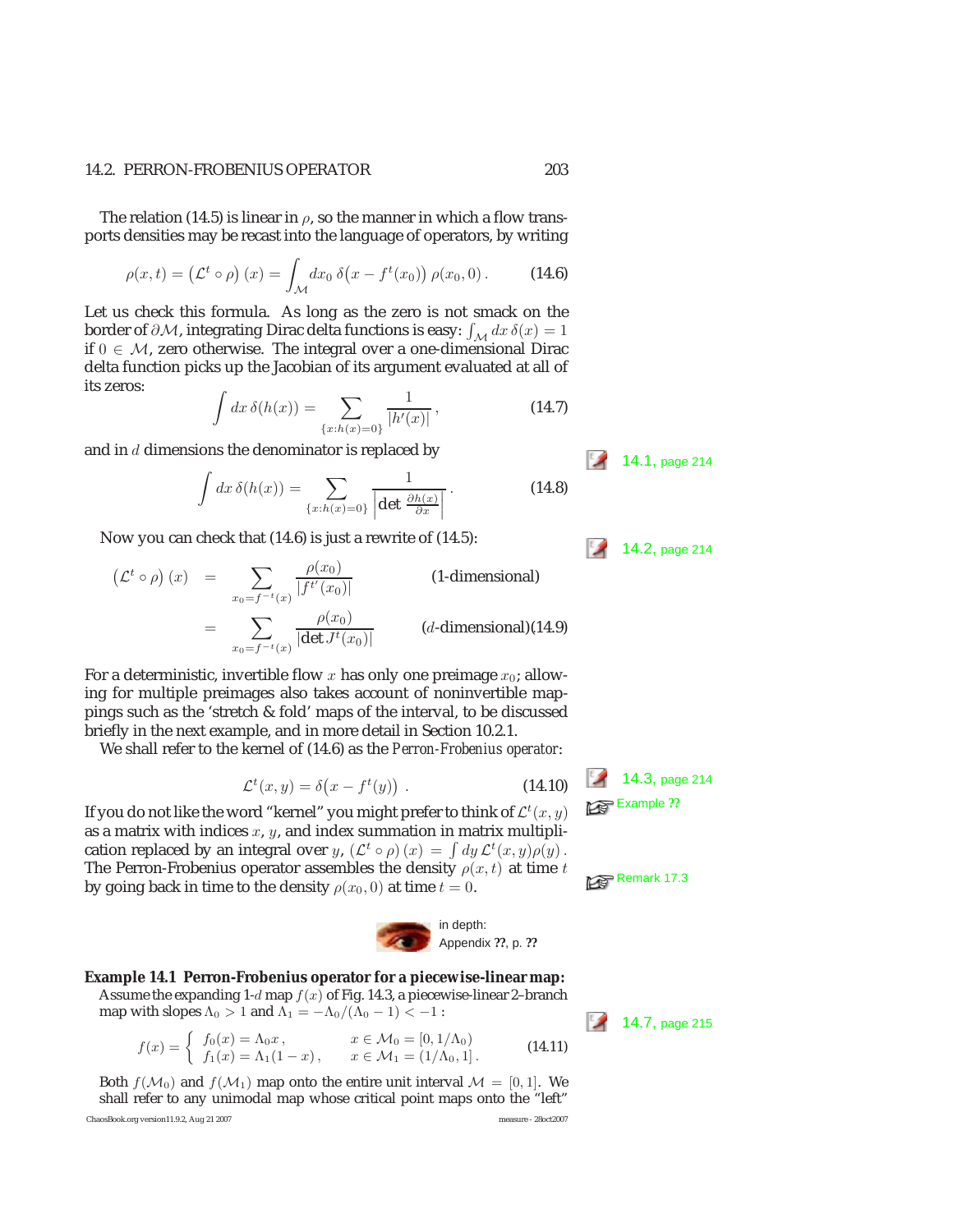#### 14.2. PERRON-FROBENIUS OPERATOR 203

The relation (14.5) is linear in  $\rho$ , so the manner in which a flow transports densities may be recast into the language of operators, by writing

$$
\rho(x,t) = (\mathcal{L}^t \circ \rho)(x) = \int_{\mathcal{M}} dx_0 \, \delta(x - f^t(x_0)) \, \rho(x_0,0). \tag{14.6}
$$

Let us check this formula. As long as the zero is not smack on the border of  $\partial \mathcal{M}$ , integrating Dirac delta functions is easy:  $\int_{\mathcal{M}} dx \, \delta(x)=1$ if  $0 \in \mathcal{M}$ , zero otherwise. The integral over a one-dimensional Dirac delta function picks up the Jacobian of its argument evaluated at all of its zeros:

$$
\int dx \,\delta(h(x)) = \sum_{\{x:h(x)=0\}} \frac{1}{|h'(x)|},\tag{14.7}
$$

and in d dimensions the denominator is replaced by  $\frac{1}{4}$  14.1, page 214

$$
\int dx \,\delta(h(x)) = \sum_{\{x:h(x)=0\}} \frac{1}{\left|\det \frac{\partial h(x)}{\partial x}\right|}.
$$
 (14.8)

Now you can check that  $(14.6)$  is just a rewrite of  $(14.5)$ : 14.2, page 214

$$
\left(\mathcal{L}^t \circ \rho\right)(x) = \sum_{x_0 = f^{-t}(x)} \frac{\rho(x_0)}{|f^{t'}(x_0)|}
$$
 (1-dimensional)  

$$
= \sum_{x_0 = f^{-t}(x)} \frac{\rho(x_0)}{|\det J^t(x_0)|}
$$
 (d-dimensional)(14.9)

For a deterministic, invertible flow x has only one preimage  $x_0$ ; allowing for multiple preimages also takes account of noninvertible mappings such as the 'stretch & fold' maps of the interval, to be discussed briefly in the next example, and in more detail in Section 10.2.1.

We shall refer to the kernel of (14.6) as the *Perron-Frobenius operator*:

$$
\mathcal{L}^t(x, y) = \delta\big(x - f^t(y)\big) \tag{14.10}
$$

If you do not like the word "kernel" you might prefer to think of  $\mathcal{L}^t(x, y)$ as a matrix with indices  $x$ ,  $y$ , and index summation in matrix multiplication replaced by an integral over y,  $(\mathcal{L}^t \circ \rho)(x) = \int dy \, \mathcal{L}^t(x, y) \rho(y)$ . The Perron-Frobenius operator assembles the density  $\rho(x, t)$  at time  $t$ <br>by going back in time to the density  $\rho(x_0, 0)$  at time  $t = 0$ .



#### **Example 14.1 Perron-Frobenius operator for a piecewise-linear map:**

Assume the expanding  $1-d$  map  $f(x)$  of Fig. 14.3, a piecewise-linear 2-branch map with slopes  $\Lambda_0 > 1$  and  $\Lambda_1 = -\Lambda_0/(\Lambda_0 - 1) < -1$ :

$$
f(x) = \begin{cases} f_0(x) = \Lambda_0 x, & x \in \mathcal{M}_0 = [0, 1/\Lambda_0) \\ f_1(x) = \Lambda_1 (1-x), & x \in \mathcal{M}_1 = (1/\Lambda_0, 1]. \end{cases}
$$
(14.11)

Both  $f(\mathcal{M}_0)$  and  $f(\mathcal{M}_1)$  map onto the entire unit interval  $\mathcal{M} = [0, 1]$ . We shall refer to any unimodal map whose critical point maps onto the "left" ChaosBook.org version11.9.2, Aug 21 2007 measure - 28oct2007

14.3, page 214 Example ??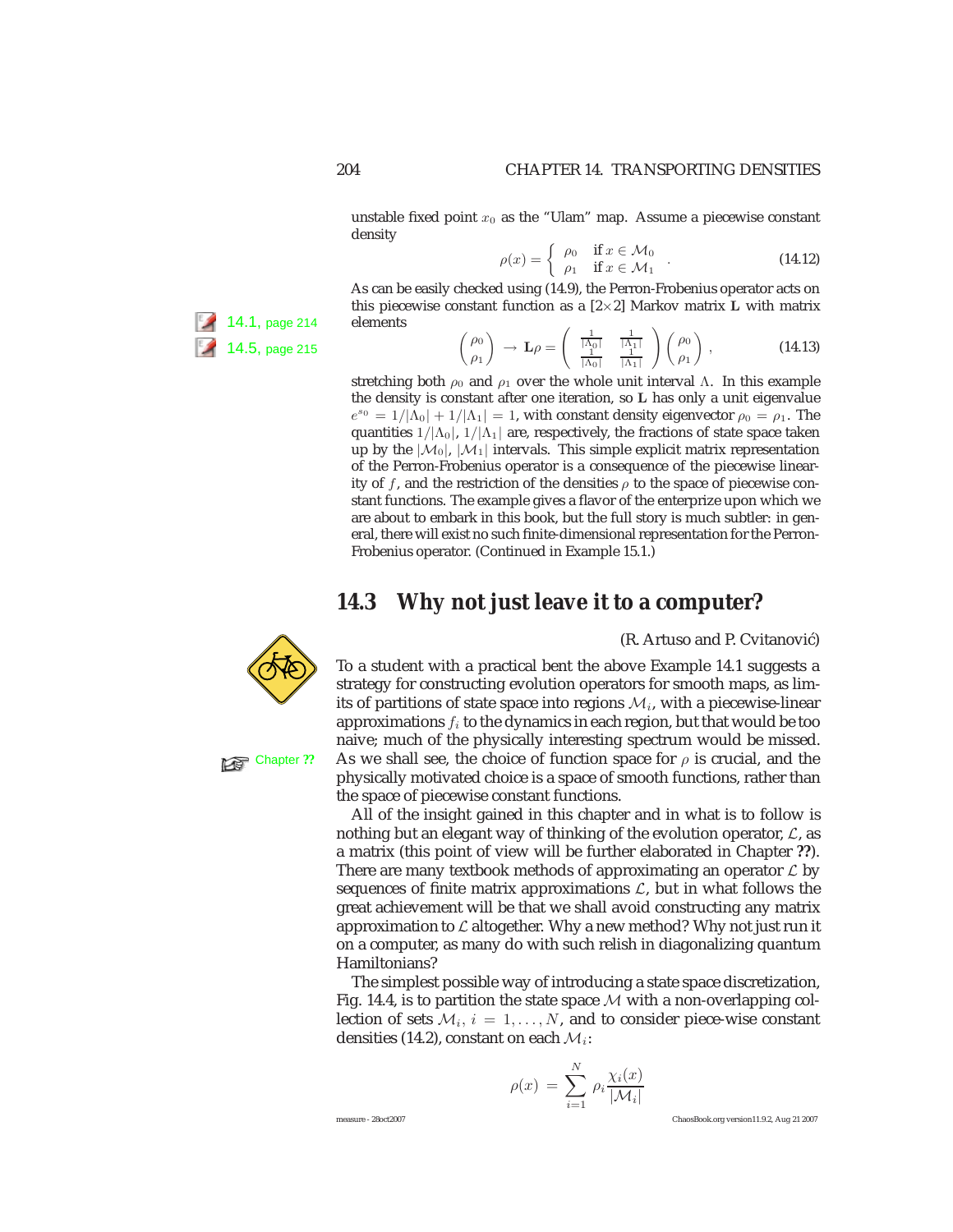14.1, page 214 14.5, page 215

unstable fixed point  $x_0$  as the "Ulam" map. Assume a piecewise constant density

$$
\rho(x) = \begin{cases} \rho_0 & \text{if } x \in \mathcal{M}_0 \\ \rho_1 & \text{if } x \in \mathcal{M}_1 \end{cases} . \tag{14.12}
$$

As can be easily checked using (14.9), the Perron-Frobenius operator acts on this piecewise constant function as a  $[2\times2]$  Markov matrix **L** with matrix elements

$$
\begin{pmatrix} \rho_0 \\ \rho_1 \end{pmatrix} \rightarrow \mathbf{L}\rho = \begin{pmatrix} \frac{1}{|\Lambda_0|} & \frac{1}{|\Lambda_1|} \\ \frac{1}{|\Lambda_0|} & \frac{1}{|\Lambda_1|} \end{pmatrix} \begin{pmatrix} \rho_0 \\ \rho_1 \end{pmatrix}, \qquad (14.13)
$$

stretching both  $\rho_0$  and  $\rho_1$  over the whole unit interval Λ. In this example the density is constant after one iteration, so **L** has only a unit eigenvalue  $e^{s_0} = 1/|\Lambda_0| + 1/|\Lambda_1| = 1$ , with constant density eigenvector  $\rho_0 = \rho_1$ . The quantities  $1/|\Lambda_0|$ ,  $1/|\Lambda_1|$  are, respectively, the fractions of state space taken up by the  $|\mathcal{M}_0|$ ,  $|\mathcal{M}_1|$  intervals. This simple explicit matrix representation of the Perron-Frobenius operator is a consequence of the piecewise linearity of f, and the restriction of the densities  $\rho$  to the space of piecewise constant functions. The example gives a flavor of the enterprize upon which we are about to embark in this book, but the full story is much subtler: in general, there will exist no such finite-dimensional representation for the Perron-Frobenius operator. (Continued in Example 15.1.)

# **14.3 Why not just leave it to a computer?**

(R. Artuso and P. Cvitanović)

To a student with a practical bent the above Example 14.1 suggests a strategy for constructing evolution operators for smooth maps, as limartitions of state space into regions  $\mathcal{M}_i$ , with a piecewise-linear imations  $f_i$  to the dynamics in each region, but that would be too much of the physically interesting spectrum would be missed. Chapter ?? As we shall see, the choice of function space for  $\rho$  is crucial, and the ally motivated choice is a space of smooth functions, rather than the space of piecewise constant functions.

> All of the insight gained in this chapter and in what is to follow is nothing but an elegant way of thinking of the evolution operator,  $\mathcal{L}$ , as a matrix (this point of view will be further elaborated in Chapter **??**). There are many textbook methods of approximating an operator  $\mathcal L$  by sequences of finite matrix approximations  $\mathcal{L}$ , but in what follows the great achievement will be that we shall avoid constructing any matrix approximation to  $\mathcal L$  altogether. Why a new method? Why not just run it on a computer, as many do with such relish in diagonalizing quantum Hamiltonians?

> The simplest possible way of introducing a state space discretization, Fig. 14.4, is to partition the state space  $M$  with a non-overlapping collection of sets  $M_i$ ,  $i = 1, \ldots, N$ , and to consider piece-wise constant densities (14.2), constant on each  $\mathcal{M}_i$ :

$$
\rho(x) = \sum_{i=1}^{N} \rho_i \frac{\chi_i(x)}{|\mathcal{M}_i|}
$$

its of p:   
\napprox  
\nnaive;  
\n
$$
\frac{1}{2}
$$
  
\n $\frac{1}{2}$   
\nAs we  
\nphysic

measure - 28oct2007 ChaosBook.org version11.9.2, Aug 21 2007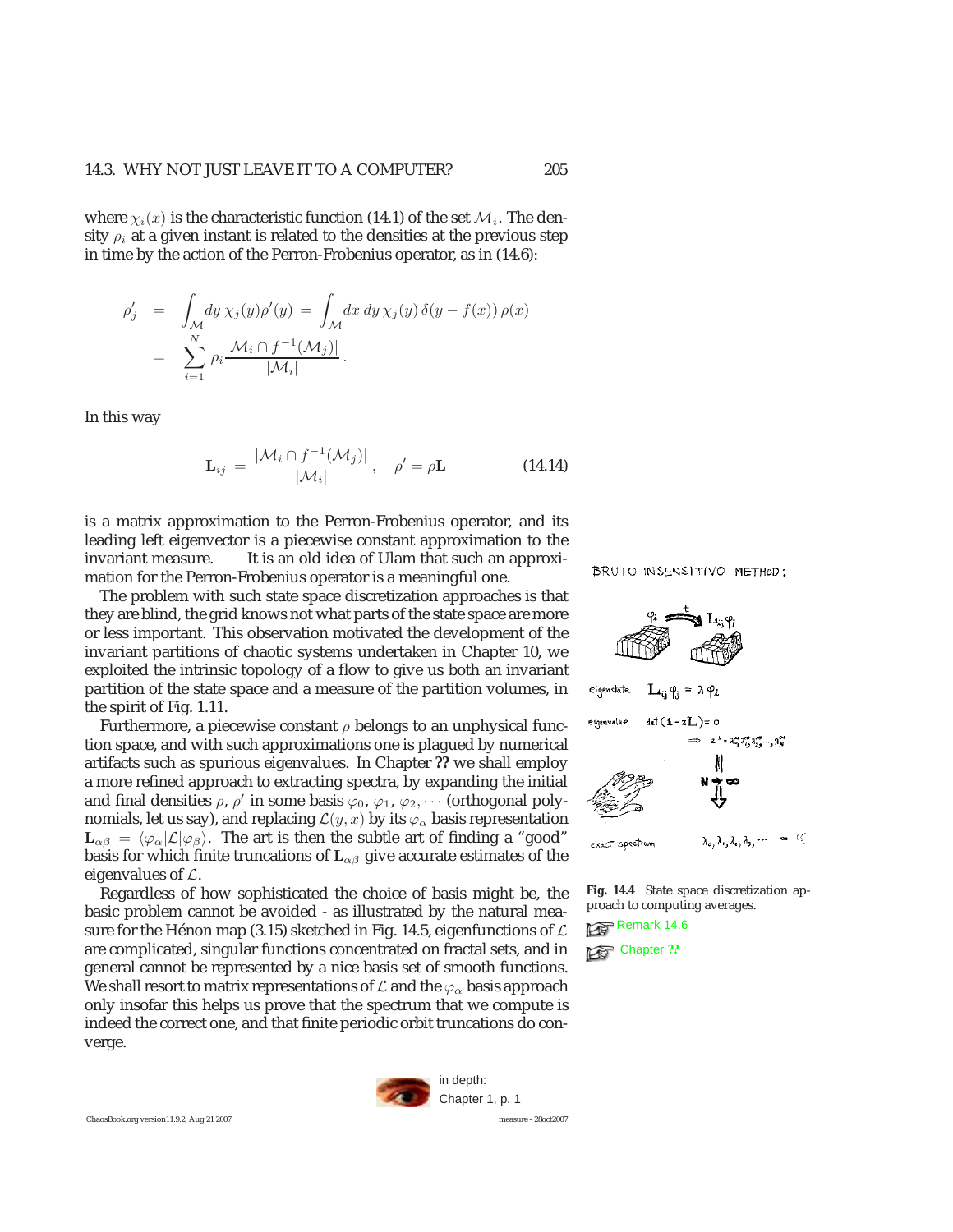where  $\chi_i(x)$  is the characteristic function (14.1) of the set  $\mathcal{M}_i$ . The density  $\rho_i$  at a given instant is related to the densities at the previous step in time by the action of the Perron-Frobenius operator, as in (14.6):

$$
\rho'_j = \int_{\mathcal{M}} dy \,\chi_j(y)\rho'(y) = \int_{\mathcal{M}} dx \,dy \,\chi_j(y)\,\delta(y - f(x))\,\rho(x)
$$

$$
= \sum_{i=1}^N \rho_i \frac{|\mathcal{M}_i \cap f^{-1}(\mathcal{M}_j)|}{|\mathcal{M}_i|}.
$$

In this way

$$
\mathbf{L}_{ij} = \frac{|\mathcal{M}_i \cap f^{-1}(\mathcal{M}_j)|}{|\mathcal{M}_i|}, \quad \rho' = \rho \mathbf{L}
$$
 (14.14)

is a matrix approximation to the Perron-Frobenius operator, and its leading left eigenvector is a piecewise constant approximation to the invariant measure. It is an old idea of Ulam that such an approximation for the Perron-Frobenius operator is a meaningful one.

The problem with such state space discretization approaches is that they are blind, the grid knows not what parts of the state space are more or less important. This observation motivated the development of the invariant partitions of chaotic systems undertaken in Chapter 10, we exploited the intrinsic topology of a flow to give us both an invariant partition of the state space and a measure of the partition volumes, in the spirit of Fig. 1.11.

Furthermore, a piecewise constant  $\rho$  belongs to an unphysical function space, and with such approximations one is plagued by numerical artifacts such as spurious eigenvalues. In Chapter **??** we shall employ a more refined approach to extracting spectra, by expanding the initial and final densities  $\rho$ ,  $\rho'$  in some basis  $\varphi_0$ ,  $\varphi_1$ ,  $\varphi_2$ ,  $\cdots$  (orthogonal polynomials, let us say), and replacing  $\mathcal{L}(y, x)$  by its  $\varphi_{\alpha}$  basis representation  $\mathbf{L}_{\alpha\beta} = \langle \varphi_\alpha | \mathcal{L} | \varphi_\beta \rangle$ . The art is then the subtle art of finding a "good" basis for which finite truncations of  $L_{\alpha\beta}$  give accurate estimates of the eigenvalues of  $\mathcal{L}$ .

Regardless of how sophisticated the choice of basis might be, the basic problem cannot be avoided - as illustrated by the natural measure for the Hénon map (3.15) sketched in Fig. 14.5, eigenfunctions of  $\mathcal L$ are complicated, singular functions concentrated on fractal sets, and in general cannot be represented by a nice basis set of smooth functions. We shall resort to matrix representations of  $\mathcal L$  and the  $\varphi_\alpha$  basis approach only insofar this helps us prove that the spectrum that we compute is indeed the correct one, and that finite periodic orbit truncations do converge.

> in depth: Chapter 1, p. 1

BRUTO INSENSITIVO METHOD:





**Fig. 14.4** State space discretization approach to computing averages.

Remark 14.6

Chapter ??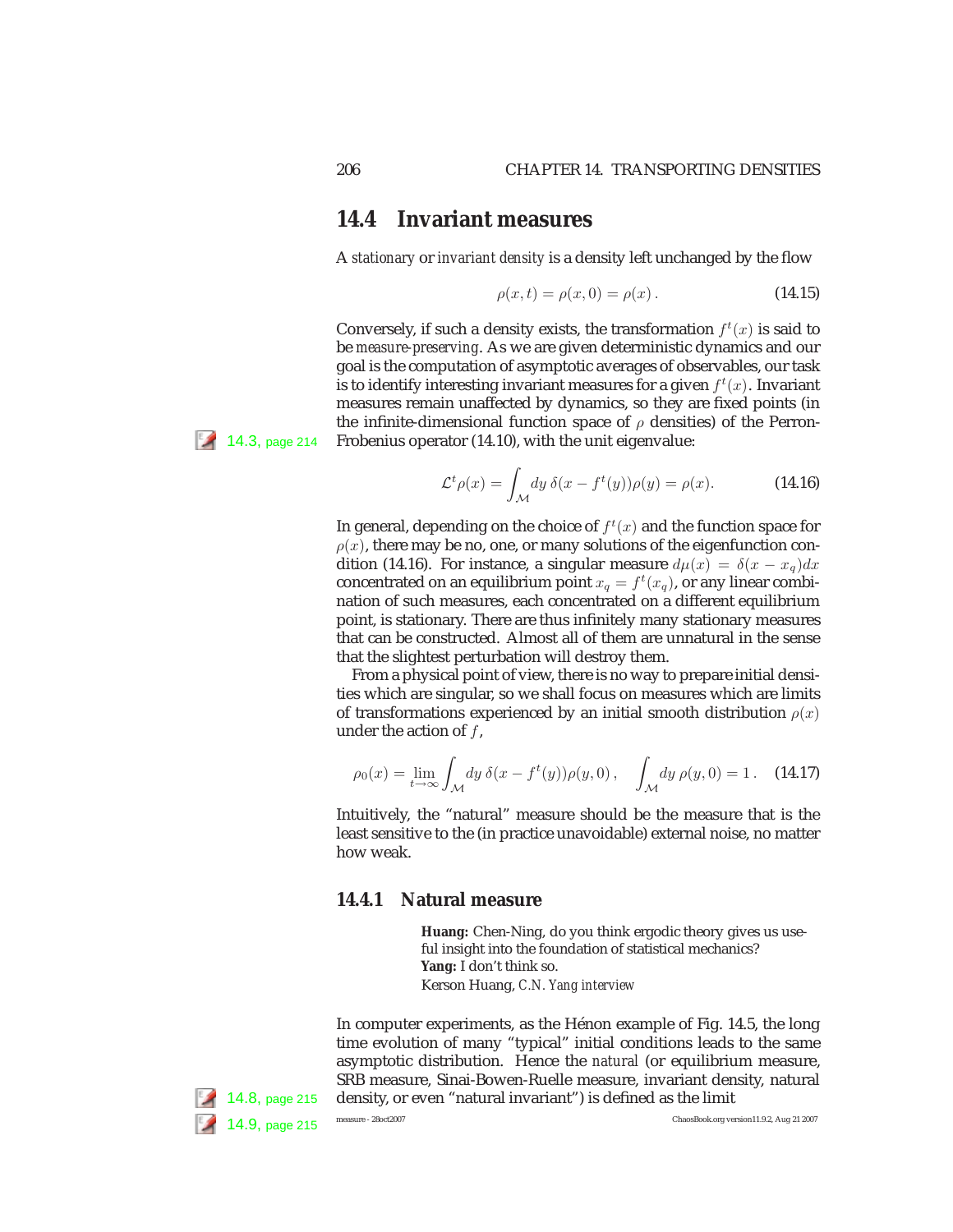# **14.4 Invariant measures**

A *stationary* or *invariant density* is a density left unchanged by the flow

$$
\rho(x,t) = \rho(x,0) = \rho(x). \tag{14.15}
$$

Conversely, if such a density exists, the transformation  $f^t(x)$  is said to be *measure-preserving*. As we are given deterministic dynamics and our goal is the computation of asymptotic averages of observables, our task is to identify interesting invariant measures for a given  $f^t(x)$ . Invariant measures remain unaffected by dynamics, so they are fixed points (in the infinite-dimensional function space of  $\rho$  densities) of the Perron-14.3, page 214 Frobenius operator  $(14.10)$ , with the unit eigenvalue:

$$
\mathcal{L}^t \rho(x) = \int_{\mathcal{M}} dy \, \delta(x - f^t(y)) \rho(y) = \rho(x). \tag{14.16}
$$

In general, depending on the choice of  $f<sup>t</sup>(x)$  and the function space for  $\rho(x)$ , there may be no, one, or many solutions of the eigenfunction condition (14.16). For instance, a singular measure  $d\mu(x) = \delta(x - x_q)dx$ concentrated on an equilibrium point  $x_q = f^t(x_q)$ , or any linear combination of such measures, each concentrated on a different equilibrium point, is stationary. There are thus infinitely many stationary measures that can be constructed. Almost all of them are unnatural in the sense that the slightest perturbation will destroy them.

From a physical point of view, there is no way to prepare initial densities which are singular, so we shall focus on measures which are limits of transformations experienced by an initial smooth distribution  $\rho(x)$ under the action of  $f$ ,

$$
\rho_0(x) = \lim_{t \to \infty} \int_{\mathcal{M}} dy \, \delta(x - f^t(y)) \rho(y, 0) \, , \quad \int_{\mathcal{M}} dy \, \rho(y, 0) = 1 \, . \quad \textbf{(14.17)}
$$

Intuitively, the "natural" measure should be the measure that is the least sensitive to the (in practice unavoidable) external noise, no matter how weak.

#### **14.4.1 Natural measure**

**Huang:** Chen-Ning, do you think ergodic theory gives us useful insight into the foundation of statistical mechanics? **Yang:** I don't think so. Kerson Huang, *C.N. Yang interview*

In computer experiments, as the Hénon example of Fig. 14.5, the long time evolution of many "typical" initial conditions leads to the same asymptotic distribution. Hence the *natural* (or equilibrium measure, SRB measure, Sinai-Bowen-Ruelle measure, invariant density, natural 14.8, page 215 density, or even "natural invariant") is defined as the limit

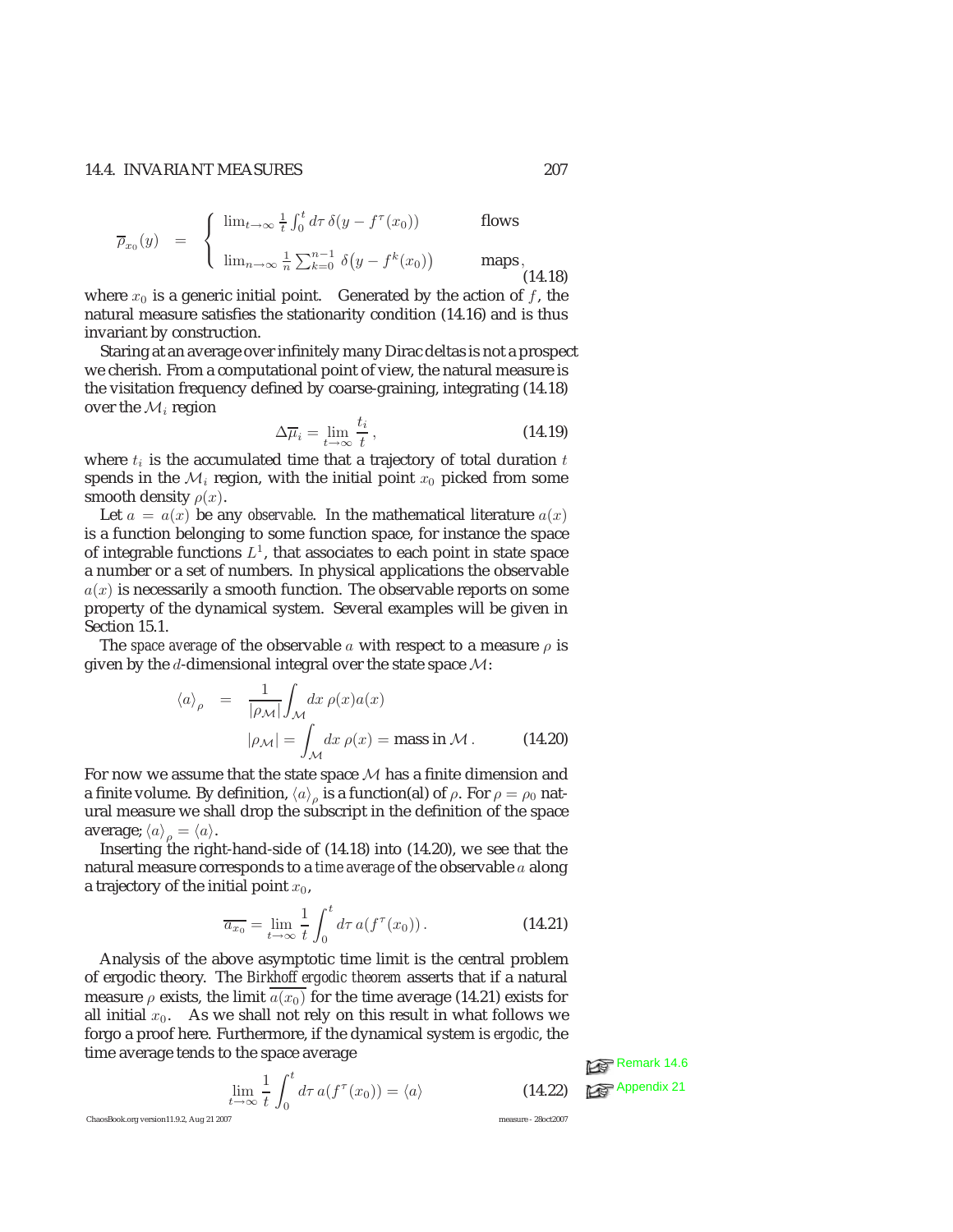#### 14.4. INVARIANT MEASURES 207

$$
\overline{\rho}_{x_0}(y) = \begin{cases} \lim_{t \to \infty} \frac{1}{t} \int_0^t d\tau \, \delta(y - f^\tau(x_0)) & \text{flows} \\ \lim_{n \to \infty} \frac{1}{n} \sum_{k=0}^{n-1} \delta(y - f^k(x_0)) & \text{maps} \end{cases}
$$
\n(14.18)

where  $x_0$  is a generic initial point. Generated by the action of  $f$ , the natural measure satisfies the stationarity condition (14.16) and is thus invariant by construction.

Staring at an average over infinitely many Dirac deltas is not a prospect we cherish. From a computational point of view, the natural measure is the visitation frequency defined by coarse-graining, integrating (14.18) over the  $\mathcal{M}_i$  region

$$
\Delta \overline{\mu}_i = \lim_{t \to \infty} \frac{t_i}{t}, \qquad (14.19)
$$

where  $t_i$  is the accumulated time that a trajectory of total duration  $t$ spends in the  $\mathcal{M}_i$  region, with the initial point  $x_0$  picked from some smooth density  $\rho(x)$ .

Let  $a = a(x)$  be any *observable*. In the mathematical literature  $a(x)$ is a function belonging to some function space, for instance the space of integrable functions  $L^1$ , that associates to each point in state space a number or a set of numbers. In physical applications the observable  $a(x)$  is necessarily a smooth function. The observable reports on some property of the dynamical system. Several examples will be given in Section 15.1.

The *space average* of the observable a with respect to a measure  $\rho$  is given by the  $d$ -dimensional integral over the state space  $\mathcal{M}$ :

$$
\langle a \rangle_{\rho} = \frac{1}{|\rho_{\mathcal{M}}|} \int_{\mathcal{M}} dx \, \rho(x) a(x)
$$

$$
|\rho_{\mathcal{M}}| = \int_{\mathcal{M}} dx \, \rho(x) = \text{mass in } \mathcal{M}. \quad (14.20)
$$

For now we assume that the state space  $M$  has a finite dimension and a finite volume. By definition,  $\langle a \rangle_{\rho}$  is a function(al) of  $\rho$ . For  $\rho = \rho_0$  natural measure we shall drop the subscript in the definition of the space average;  $\langle a \rangle_a = \langle a \rangle$ .

Inserting the right-hand-side of (14.18) into (14.20), we see that the natural measure corresponds to a *time average* of the observable a along a trajectory of the initial point  $x_0$ ,

$$
\overline{a_{x_0}} = \lim_{t \to \infty} \frac{1}{t} \int_0^t d\tau \, a(f^\tau(x_0)) \,. \tag{14.21}
$$

Analysis of the above asymptotic time limit is the central problem of ergodic theory. The *Birkhoff ergodic theorem* asserts that if a natural measure  $\rho$  exists, the limit  $a(x_0)$  for the time average (14.21) exists for all initial  $x_0$ . As we shall not rely on this result in what follows we forgo a proof here. Furthermore, if the dynamical system is *ergodic*, the time average tends to the space average  $R^{\text{max}}$  Remark 14.6

$$
\lim_{t \to \infty} \frac{1}{t} \int_0^t d\tau \, a(f^\tau(x_0)) = \langle a \rangle \tag{14.22}
$$
\n\n**ChaosBook.org version11.9.2, Aug 21 2007\n**\nChaosBook.org version11.9.2, Aug 21 2007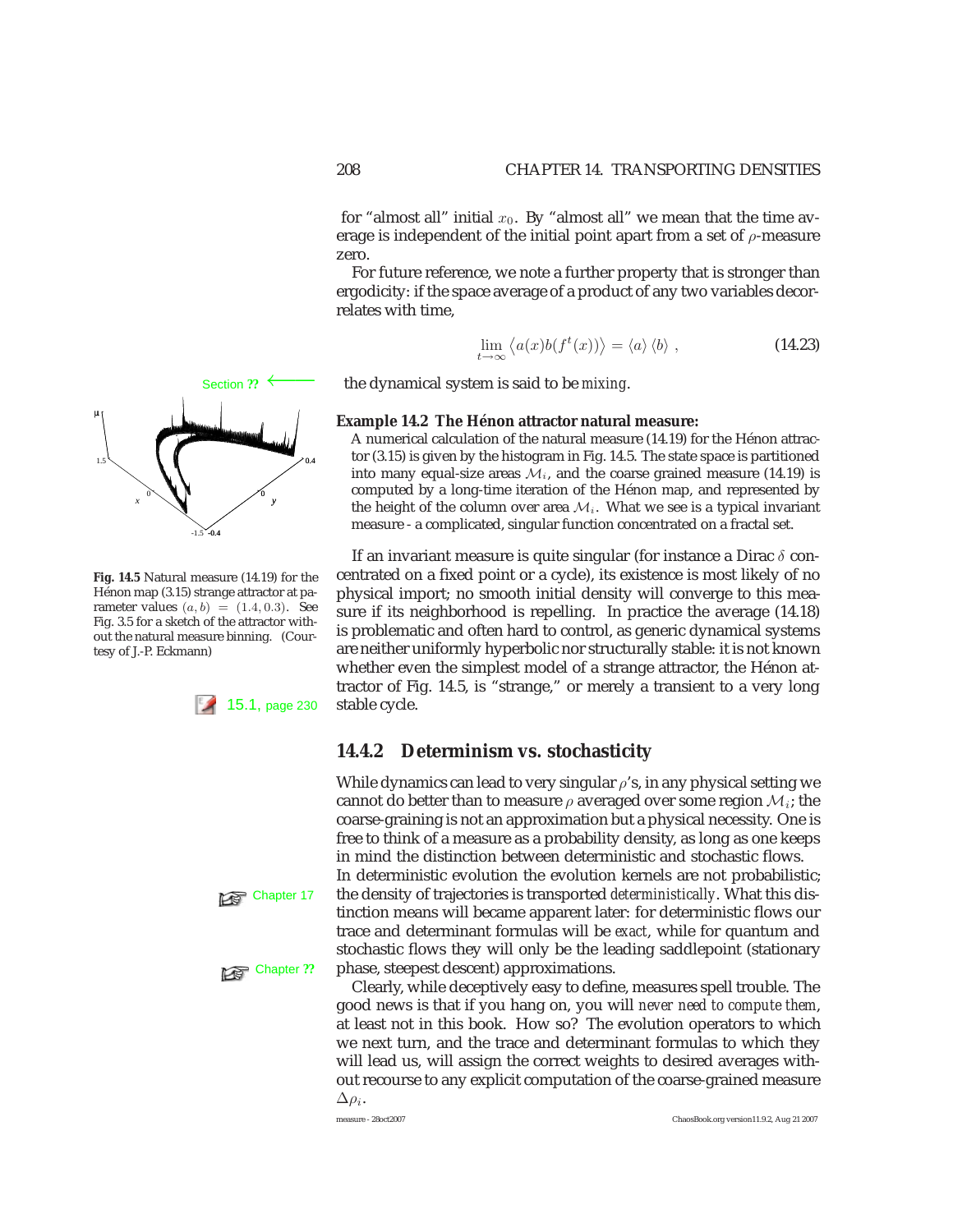for "almost all" initial  $x_0$ . By "almost all" we mean that the time average is independent of the initial point apart from a set of  $\rho$ -measure zero.

For future reference, we note a further property that is stronger than ergodicity: if the space average of a product of any two variables decorrelates with time,

$$
\lim_{t \to \infty} \langle a(x)b(f^t(x)) \rangle = \langle a \rangle \langle b \rangle , \qquad (14.23)
$$

Section ?? ← The dynamical system is said to be *mixing*.

#### **Example 14.2 The Hénon attractor natural measure:**

A numerical calculation of the natural measure  $(14.19)$  for the Hénon attractor (3.15) is given by the histogram in Fig. 14.5. The state space is partitioned into many equal-size areas  $\mathcal{M}_i$ , and the coarse grained measure (14.19) is computed by a long-time iteration of the Hénon map, and represented by the height of the column over area  $\mathcal{M}_i$ . What we see is a typical invariant measure - a complicated, singular function concentrated on a fractal set.

If an invariant measure is quite singular (for instance a Dirac  $\delta$  concentrated on a fixed point or a cycle), its existence is most likely of no physical import; no smooth initial density will converge to this measure if its neighborhood is repelling. In practice the average (14.18) is problematic and often hard to control, as generic dynamical systems are neither uniformly hyperbolic nor structurally stable: it is not known whether even the simplest model of a strange attractor, the Hénon attractor of Fig. 14.5, is "strange," or merely a transient to a very long

### **14.4.2 Determinism vs. stochasticity**

While dynamics can lead to very singular  $\rho$ 's, in any physical setting we cannot do better than to measure  $\rho$  averaged over some region  $\mathcal{M}_i$ ; the coarse-graining is not an approximation but a physical necessity. One is free to think of a measure as a probability density, as long as one keeps in mind the distinction between deterministic and stochastic flows.

In deterministic evolution the evolution kernels are not probabilistic; Chapter 17 the density of trajectories is transported *deterministically*. What this distinction means will became apparent later: for deterministic flows our trace and determinant formulas will be *exact*, while for quantum and stochastic flows they will only be the leading saddlepoint (stationary **Chapter ??** phase, steepest descent) approximations.

> Clearly, while deceptively easy to define, measures spell trouble. The good news is that if you hang on, you will *never need to compute them*, at least not in this book. How so? The evolution operators to which we next turn, and the trace and determinant formulas to which they will lead us, will assign the correct weights to desired averages without recourse to any explicit computation of the coarse-grained measure  $\Delta \rho_i$ .



**Fig. 14.5** Natural measure (14.19) for the Hénon map (3.15) strange attractor at parameter values  $(a, b) = (1.4, 0.3)$ . See Fig. 3.5 for a sketch of the attractor without the natural measure binning. (Courtesy of J.-P. Eckmann)





measure - 28oct2007 ChaosBook.org version11.9.2, Aug 21 2007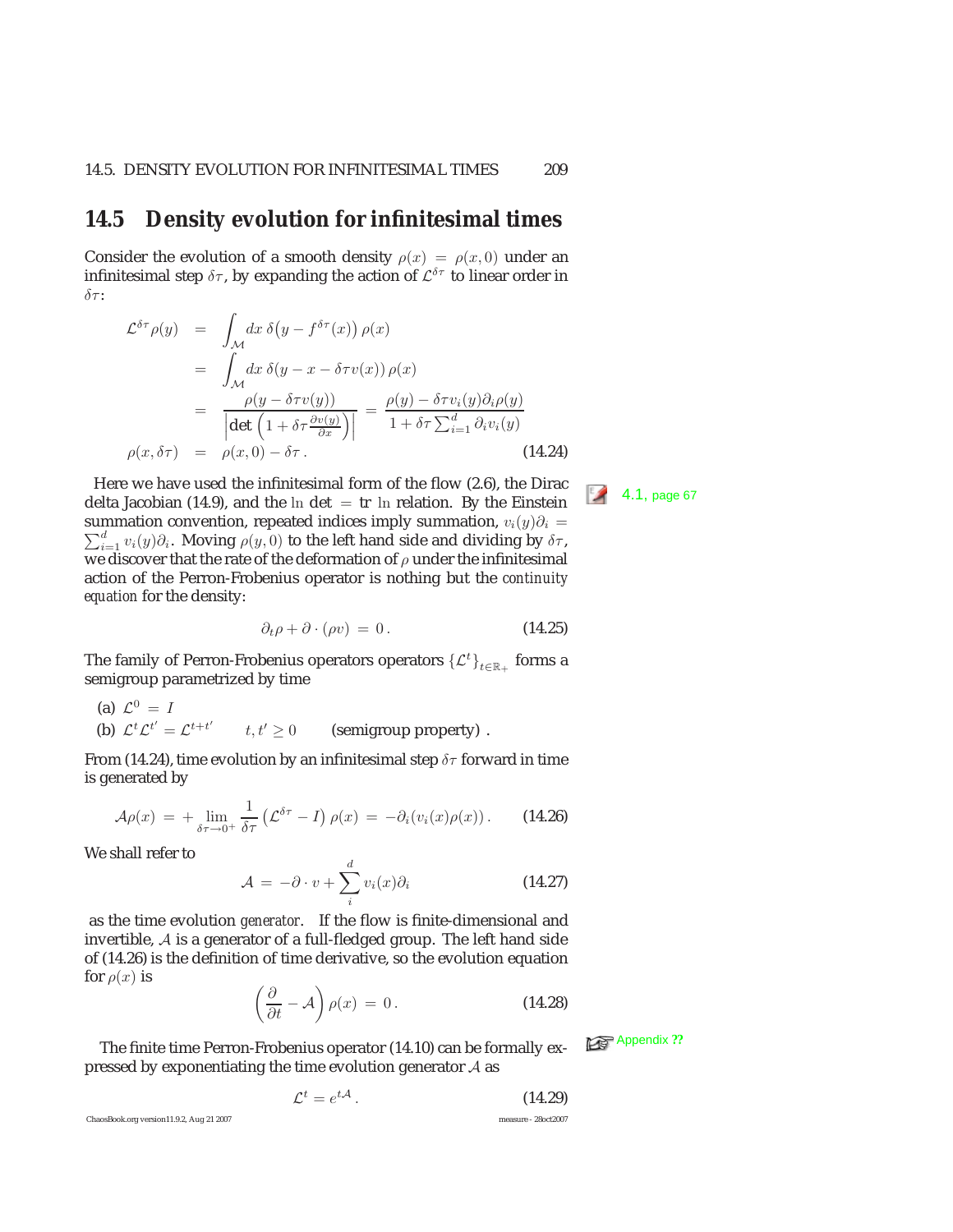# **14.5 Density evolution for infinitesimal times**

Consider the evolution of a smooth density  $\rho(x) = \rho(x, 0)$  under an infinitesimal step  $\delta\tau$ , by expanding the action of  $\mathcal{L}^{\delta\tau}$  to linear order in δτ:

$$
\mathcal{L}^{\delta\tau}\rho(y) = \int_{\mathcal{M}} dx \, \delta\big(y - f^{\delta\tau}(x)\big) \, \rho(x)
$$
  
\n
$$
= \int_{\mathcal{M}} dx \, \delta\big(y - x - \delta\tau v(x)\big) \, \rho(x)
$$
  
\n
$$
= \frac{\rho(y - \delta\tau v(y))}{\left|\det\left(1 + \delta\tau \frac{\partial v(y)}{\partial x}\right)\right|} = \frac{\rho(y) - \delta\tau v_i(y)\partial_i \rho(y)}{1 + \delta\tau \sum_{i=1}^d \partial_i v_i(y)}
$$
  
\n
$$
\rho(x, \delta\tau) = \rho(x, 0) - \delta\tau.
$$
 (14.24)

Here we have used the infinitesimal form of the flow (2.6), the Dirac delta Jacobian (14.9), and the ln det = tr ln relation. By the Einstein 4.1, page 67 summation convention, repeated indices imply summation,  $v_i(y)\partial_i =$  $\sum_{i=1}^{a} v_i(y)\partial_i$ . Moving  $\rho(y, 0)$  to the left hand side and dividing by  $\delta\tau$ , we discover that the rate of the deformation of  $\rho$  under the infinitesimal action of the Perron-Frobenius operator is nothing but the *continuity equation* for the density:

$$
\partial_t \rho + \partial \cdot (\rho v) = 0. \tag{14.25}
$$

The family of Perron-Frobenius operators operators  $\{\mathcal{L}^t\}_{t\in\mathbb{R}_+}$  forms a semigroup parametrized by time

(a)  $\mathcal{L}^0 = I$ (b)  $\mathcal{L}^t \mathcal{L}^{t'} = \mathcal{L}^{t+t'}$ (semigroup property).

From (14.24), time evolution by an infinitesimal step  $\delta\tau$  forward in time is generated by

$$
\mathcal{A}\rho(x) = + \lim_{\delta \tau \to 0^+} \frac{1}{\delta \tau} \left( \mathcal{L}^{\delta \tau} - I \right) \rho(x) = -\partial_i(v_i(x)\rho(x)). \tag{14.26}
$$

We shall refer to

$$
\mathcal{A} = -\partial \cdot v + \sum_{i}^{d} v_i(x)\partial_i \tag{14.27}
$$

as the time evolution *generator*. If the flow is finite-dimensional and invertible, A is a generator of a full-fledged group. The left hand side of (14.26) is the definition of time derivative, so the evolution equation for  $\rho(x)$  is

$$
\left(\frac{\partial}{\partial t} - \mathcal{A}\right)\rho(x) = 0.
$$
 (14.28)

Appendix **??** The finite time Perron-Frobenius operator (14.10) can be formally expressed by exponentiating the time evolution generator  $A$  as

$$
\mathcal{L}^t = e^{t\mathcal{A}}\,. \tag{14.29}
$$

ChaosBook.org version11.9.2, Aug 21 2007 measure - 28oct2007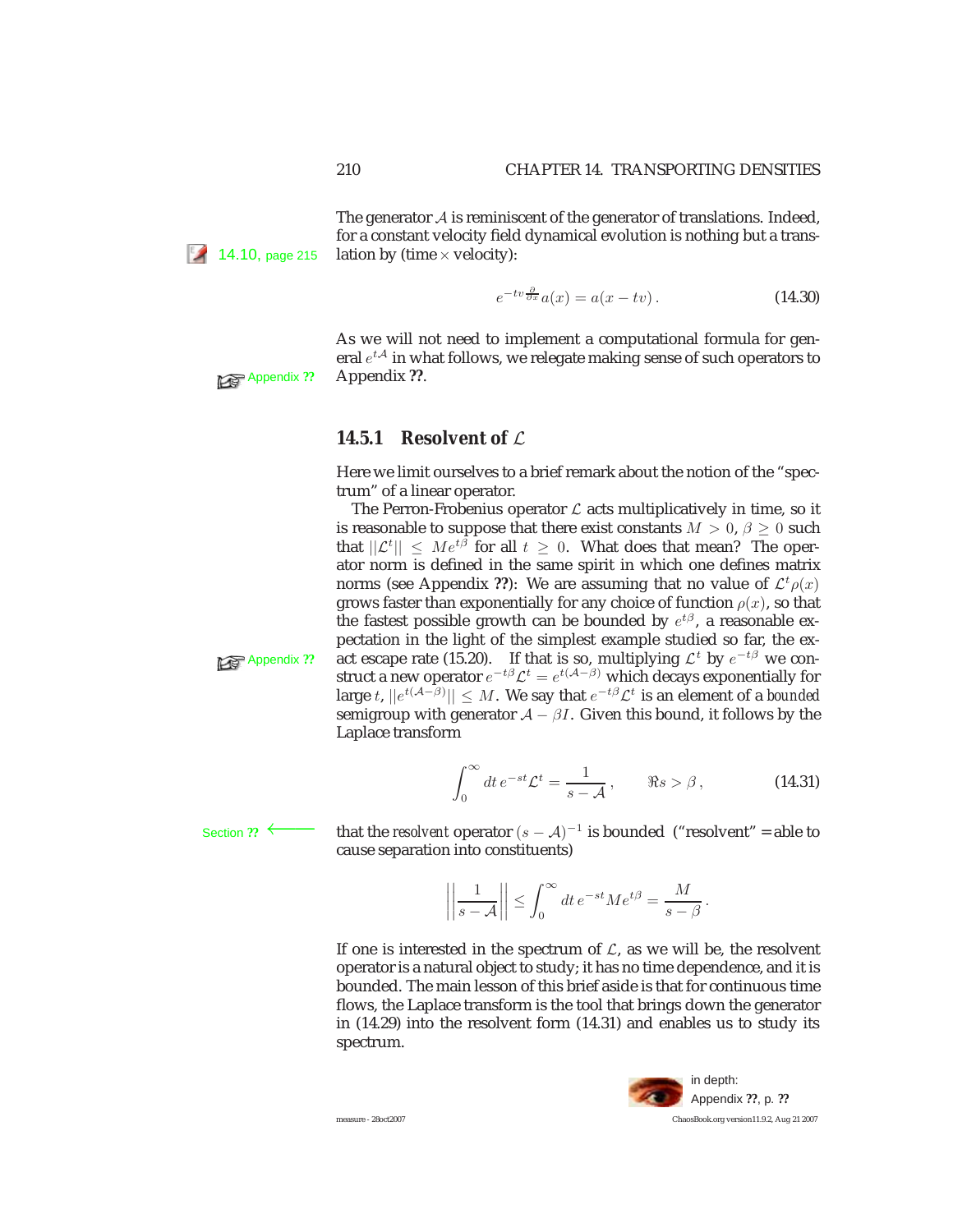The generator  $A$  is reminiscent of the generator of translations. Indeed, for a constant velocity field dynamical evolution is nothing but a trans-**14.10, page 215 lation by (time**  $\times$  **velocity):** 

$$
e^{-tv\frac{\partial}{\partial x}}a(x) = a(x - tv). \tag{14.30}
$$

As we will not need to implement a computational formula for general  $e^{tA}$  in what follows, we relegate making sense of such operators to Appendix **??** Appendix **??**.

#### **14.5.1 Resolvent of** L

Here we limit ourselves to a brief remark about the notion of the "spectrum" of a linear operator.

The Perron-Frobenius operator  $\mathcal L$  acts multiplicatively in time, so it is reasonable to suppose that there exist constants  $M > 0, \beta \geq 0$  such that  $||\mathcal{L}^t|| \leq Me^{t\hat{\beta}}$  for all  $t \geq 0$ . What does that mean? The operator norm is defined in the same spirit in which one defines matrix norms (see Appendix ??): We are assuming that no value of  $\mathcal{L}^t \rho(x)$ grows faster than exponentially for any choice of function  $\rho(x)$ , so that the fastest possible growth can be bounded by  $e^{t\beta}$ , a reasonable expectation in the light of the simplest example studied so far, the ex-Appendix ?? act escape rate (15.20). If that is so, multiplying  $\mathcal{L}^t$  by  $e^{-t\beta}$  we construct a new operator  $e^{-t\beta}$   $\mathcal{L}^t = e^{t(\mathcal{A} - \beta)}$  which decays exponentially for large t,  $||e^{t(A-\hat{\beta})}|| \leq M$ . We say that  $e^{-t\beta} \mathcal{L}^t$  is an element of a *bounded* semigroup with generator  $A - \beta I$ . Given this bound, it follows by the Laplace transform

$$
\int_0^\infty dt \, e^{-st} \mathcal{L}^t = \frac{1}{s - \mathcal{A}}, \qquad \Re s > \beta, \tag{14.31}
$$

Section ?? ← that the *resolvent* operator  $(s - A)^{-1}$  is bounded ("resolvent" = able to cause separation into constituents)

$$
\left|\left|\frac{1}{s-\mathcal{A}}\right|\right| \leq \int_0^\infty dt \, e^{-st} Me^{t\beta} = \frac{M}{s-\beta} \, .
$$

If one is interested in the spectrum of  $\mathcal{L}$ , as we will be, the resolvent operator is a natural object to study; it has no time dependence, and it is bounded. The main lesson of this brief aside is that for continuous time flows, the Laplace transform is the tool that brings down the generator in (14.29) into the resolvent form (14.31) and enables us to study its spectrum.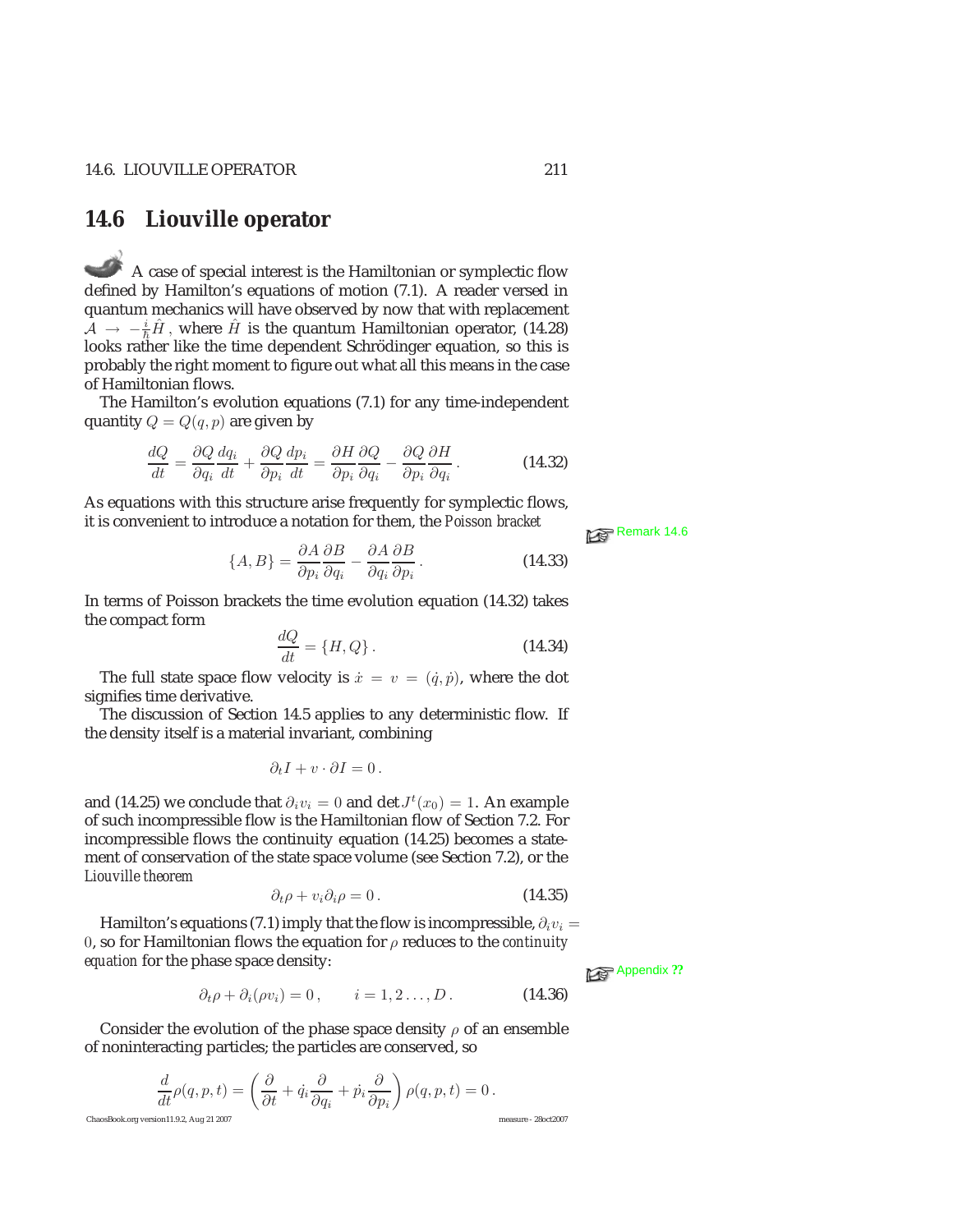# **14.6 Liouville operator**

A case of special interest is the Hamiltonian or symplectic flow defined by Hamilton's equations of motion (7.1). A reader versed in quantum mechanics will have observed by now that with replacement  $\hat{\mathcal{A}} \rightarrow -\frac{i}{\hbar} \hat{H}$ , where  $\hat{H}$  is the quantum Hamiltonian operator, (14.28) looks rather like the time dependent Schrödinger equation, so this is probably the right moment to figure out what all this means in the case of Hamiltonian flows.

The Hamilton's evolution equations (7.1) for any time-independent quantity  $Q = Q(q, p)$  are given by

$$
\frac{dQ}{dt} = \frac{\partial Q}{\partial q_i} \frac{dq_i}{dt} + \frac{\partial Q}{\partial p_i} \frac{dp_i}{dt} = \frac{\partial H}{\partial p_i} \frac{\partial Q}{\partial q_i} - \frac{\partial Q}{\partial p_i} \frac{\partial H}{\partial q_i}.
$$
(14.32)

As equations with this structure arise frequently for symplectic flows, it is convenient to introduce a notation for them, the *Poisson bracket* Remark 14.6

$$
\{A, B\} = \frac{\partial A}{\partial p_i} \frac{\partial B}{\partial q_i} - \frac{\partial A}{\partial q_i} \frac{\partial B}{\partial p_i}.
$$
 (14.33)

In terms of Poisson brackets the time evolution equation (14.32) takes the compact form

$$
\frac{dQ}{dt} = \{H, Q\}.
$$
\n(14.34)

The full state space flow velocity is  $\dot{x} = v = (\dot{q}, \dot{p})$ , where the dot signifies time derivative.

The discussion of Section 14.5 applies to any deterministic flow. If the density itself is a material invariant, combining

$$
\partial_t I + v \cdot \partial I = 0.
$$

and (14.25) we conclude that  $\partial_i v_i = 0$  and det  $J^t(x_0) = 1$ . An example of such incompressible flow is the Hamiltonian flow of Section 7.2. For incompressible flows the continuity equation (14.25) becomes a statement of conservation of the state space volume (see Section 7.2), or the *Liouville theorem*

$$
\partial_t \rho + v_i \partial_i \rho = 0. \tag{14.35}
$$

Hamilton's equations (7.1) imply that the flow is incompressible,  $\partial_i v_i =$ 0, so for Hamiltonian flows the equation for ρ reduces to the *continuity equation* for the phase space density:  $\mathbb{R}^n$  Appendix ??

$$
\partial_t \rho + \partial_i(\rho v_i) = 0, \qquad i = 1, 2 \dots, D. \tag{14.36}
$$

Consider the evolution of the phase space density  $\rho$  of an ensemble of noninteracting particles; the particles are conserved, so

$$
\frac{d}{dt}\rho(q,p,t)=\left(\frac{\partial}{\partial t}+\dot{q}_i\frac{\partial}{\partial q_i}+\dot{p}_i\frac{\partial}{\partial p_i}\right)\rho(q,p,t)=0\,.
$$
ChaosBook.org version11.9.2, Aug 21 2007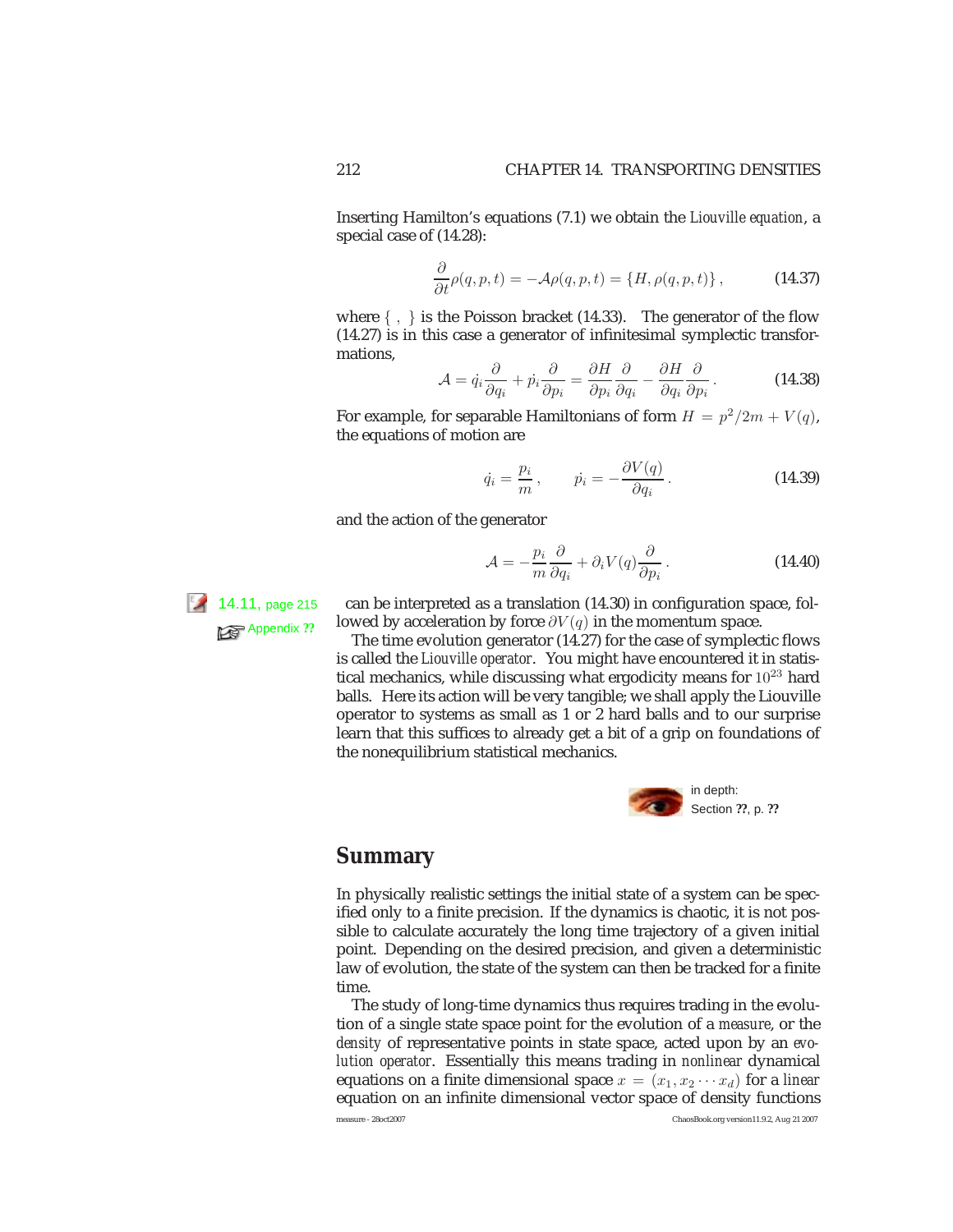Inserting Hamilton's equations (7.1) we obtain the *Liouville equation*, a special case of (14.28):

$$
\frac{\partial}{\partial t}\rho(q,p,t) = -\mathcal{A}\rho(q,p,t) = \{H, \rho(q,p,t)\},\qquad(14.37)
$$

where  $\{ , \}$  is the Poisson bracket (14.33). The generator of the flow (14.27) is in this case a generator of infinitesimal symplectic transformations,

$$
\mathcal{A} = \dot{q}_i \frac{\partial}{\partial q_i} + \dot{p}_i \frac{\partial}{\partial p_i} = \frac{\partial H}{\partial p_i} \frac{\partial}{\partial q_i} - \frac{\partial H}{\partial q_i} \frac{\partial}{\partial p_i}.
$$
(14.38)

For example, for separable Hamiltonians of form  $H = p^2/2m + V(q)$ , the equations of motion are

$$
\dot{q}_i = \frac{p_i}{m}, \qquad \dot{p}_i = -\frac{\partial V(q)}{\partial q_i}.
$$
 (14.39)

and the action of the generator

$$
\mathcal{A} = -\frac{p_i}{m} \frac{\partial}{\partial q_i} + \partial_i V(q) \frac{\partial}{\partial p_i}.
$$
 (14.40)

 $14.11$ , page 215 can be interpreted as a translation (14.30) in configuration space, fol-**Let Appendix ??** lowed by acceleration by force  $\partial V(q)$  in the momentum space.

The time evolution generator (14.27) for the case of symplectic flows is called the *Liouville operator*. You might have encountered it in statistical mechanics, while discussing what ergodicity means for  $10^{23}$  hard balls. Here its action will be very tangible; we shall apply the Liouville operator to systems as small as 1 or 2 hard balls and to our surprise learn that this suffices to already get a bit of a grip on foundations of the nonequilibrium statistical mechanics.



## **Summary**

In physically realistic settings the initial state of a system can be specified only to a finite precision. If the dynamics is chaotic, it is not possible to calculate accurately the long time trajectory of a given initial point. Depending on the desired precision, and given a deterministic law of evolution, the state of the system can then be tracked for a finite time.

The study of long-time dynamics thus requires trading in the evolution of a single state space point for the evolution of a *measure*, or the *density* of representative points in state space, acted upon by an *evolution operator*. Essentially this means trading in *nonlinear* dynamical equations on a finite dimensional space  $x = (x_1, x_2 \cdots x_d)$  for a *linear* equation on an infinite dimensional vector space of density functions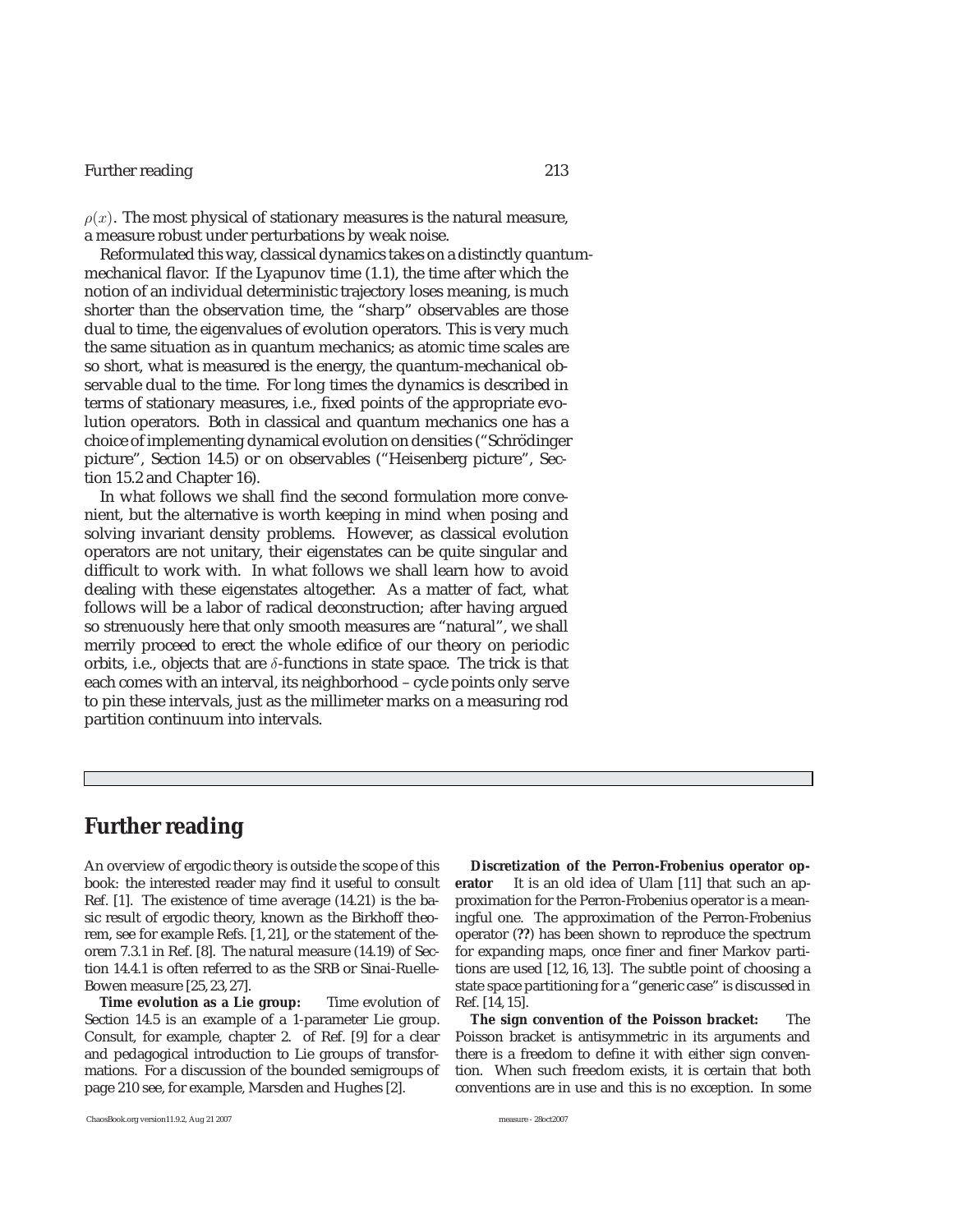#### Further reading 213

 $\rho(x)$ . The most physical of stationary measures is the natural measure, a measure robust under perturbations by weak noise.

Reformulated this way, classical dynamics takes on a distinctly quantummechanical flavor. If the Lyapunov time (1.1), the time after which the notion of an individual deterministic trajectory loses meaning, is much shorter than the observation time, the "sharp" observables are those dual to time, the eigenvalues of evolution operators. This is very much the same situation as in quantum mechanics; as atomic time scales are so short, what is measured is the energy, the quantum-mechanical observable dual to the time. For long times the dynamics is described in terms of stationary measures, i.e., fixed points of the appropriate evolution operators. Both in classical and quantum mechanics one has a choice of implementing dynamical evolution on densities ("Schrödinger picture", Section 14.5) or on observables ("Heisenberg picture", Section 15.2 and Chapter 16).

In what follows we shall find the second formulation more convenient, but the alternative is worth keeping in mind when posing and solving invariant density problems. However, as classical evolution operators are not unitary, their eigenstates can be quite singular and difficult to work with. In what follows we shall learn how to avoid dealing with these eigenstates altogether. As a matter of fact, what follows will be a labor of radical deconstruction; after having argued so strenuously here that only smooth measures are "natural", we shall merrily proceed to erect the whole edifice of our theory on periodic orbits, i.e., objects that are  $\delta$ -functions in state space. The trick is that each comes with an interval, its neighborhood – cycle points only serve to pin these intervals, just as the millimeter marks on a measuring rod partition continuum into intervals.

# **Further reading**

An overview of ergodic theory is outside the scope of this book: the interested reader may find it useful to consult Ref. [1]. The existence of time average (14.21) is the basic result of ergodic theory, known as the Birkhoff theorem, see for example Refs. [1, 21], or the statement of theorem 7.3.1 in Ref. [8]. The natural measure (14.19) of Section 14.4.1 is often referred to as the SRB or Sinai-Ruelle-Bowen measure [25, 23, 27].

**Time evolution as a Lie group:** Time evolution of Section 14.5 is an example of a 1-parameter Lie group. Consult, for example, chapter 2. of Ref. [9] for a clear and pedagogical introduction to Lie groups of transformations. For a discussion of the bounded semigroups of page 210 see, for example, Marsden and Hughes [2].

**erator** It is an old idea of Ulam [11] that such an approximation for the Perron-Frobenius operator is a meaningful one. The approximation of the Perron-Frobenius operator (**??**) has been shown to reproduce the spectrum for expanding maps, once finer and finer Markov partitions are used [12, 16, 13]. The subtle point of choosing a state space partitioning for a "generic case" is discussed in Ref. [14, 15].

**Discretization of the Perron-Frobenius operator op-**

**The sign convention of the Poisson bracket:** The Poisson bracket is antisymmetric in its arguments and there is a freedom to define it with either sign convention. When such freedom exists, it is certain that both conventions are in use and this is no exception. In some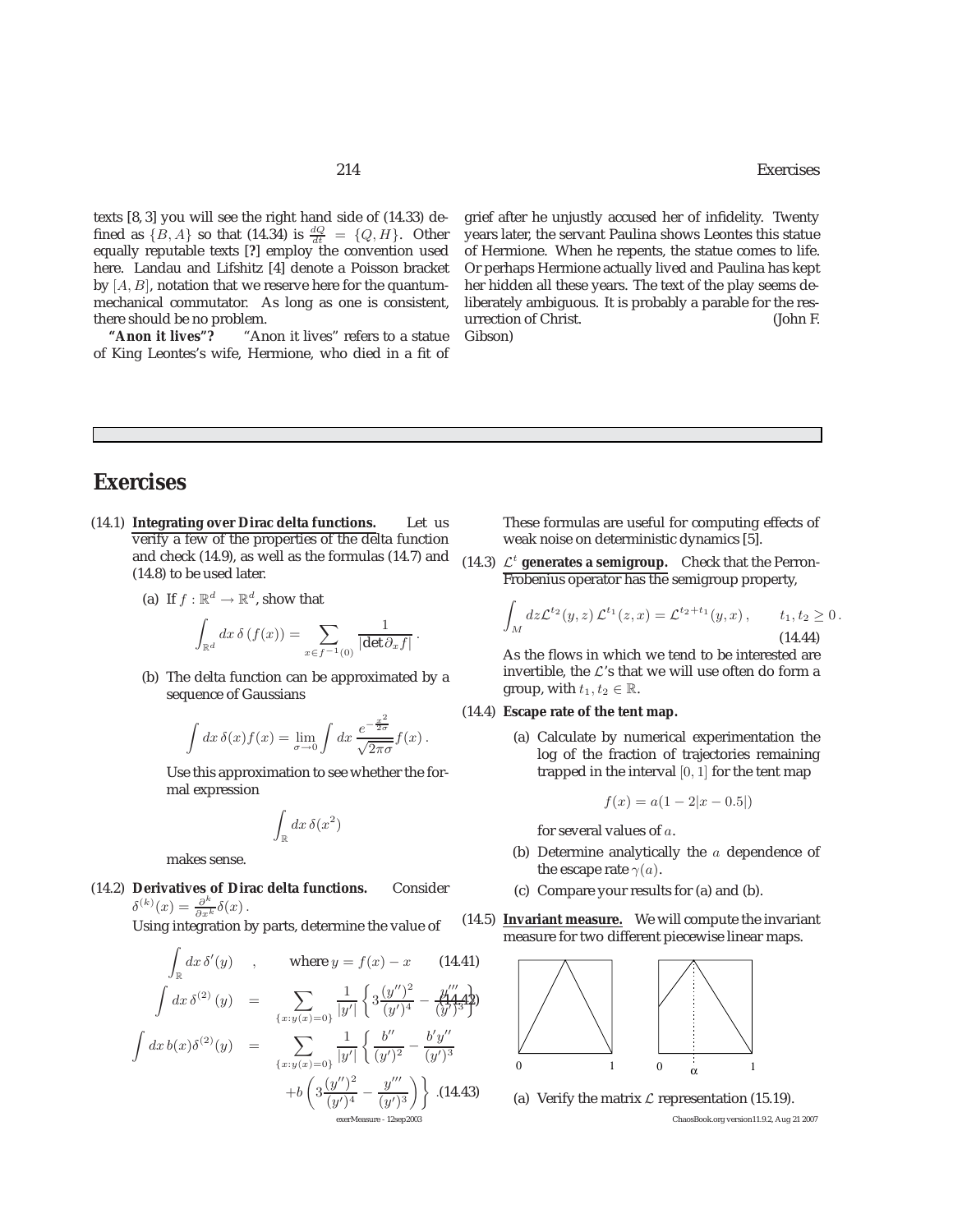texts [8, 3] you will see the right hand side of (14.33) defined as  $\{B, A\}$  so that (14.34) is  $\frac{dQ}{dt} = \{Q, H\}$ . Other equally reputable texts [?] employ the convention used here. Landau and Lifshitz [4] denote a Poisson bracket by  $[A, B]$ , notation that we reserve here for the quantummechanical commutator. As long as one is consistent, there should be no problem.

**"Anon it lives"?** "Anon it lives" refers to a statue of King Leontes's wife, Hermione, who died in a fit of

grief after he unjustly accused her of infidelity. Twenty years later, the servant Paulina shows Leontes this statue of Hermione. When he repents, the statue comes to life. Or perhaps Hermione actually lived and Paulina has kept her hidden all these years. The text of the play seems deliberately ambiguous. It is probably a parable for the resurrection of Christ. (John F.

Gibson)

 $\overline{\phantom{a}}$ M

# **Exercises**

(14.1) **Integrating over Dirac delta functions.** Let us verify a few of the properties of the delta function and check (14.9), as well as the formulas (14.7) and (14.8) to be used later.

(a) If 
$$
f : \mathbb{R}^d \to \mathbb{R}^d
$$
, show that

$$
\int_{\mathbb{R}^d} dx \, \delta \left( f(x) \right) = \sum_{x \in f^{-1}(0)} \frac{1}{|\det \partial_x f|} \, .
$$

(b) The delta function can be approximated by a sequence of Gaussians

$$
\int dx \, \delta(x) f(x) = \lim_{\sigma \to 0} \int dx \, \frac{e^{-\frac{x^2}{2\sigma}}}{\sqrt{2\pi\sigma}} f(x) \, .
$$

Use this approximation to see whether the formal expression

$$
\int_{\mathbb{R}} dx \, \delta(x^2)
$$

makes sense.

(14.2) **Derivatives of Dirac delta functions.** Consider  $\delta^{(k)}(x) = \frac{\partial^k}{\partial x^k} \delta(x)$ .<br>Leing integration b

Using integration by parts, determine the value of

$$
\int_{\mathbb{R}} dx \, \delta'(y) \quad , \qquad \text{where } y = f(x) - x \quad (14.41)
$$
\n
$$
\int dx \, \delta^{(2)}(y) = \sum_{\{x:y(x)=0\}} \frac{1}{|y'|} \left\{ 3 \frac{(y'')^2}{(y')^4} - \frac{\mu''}{(y')^3} 4 \right\}
$$
\n
$$
\int dx \, b(x) \delta^{(2)}(y) = \sum_{\{x:y(x)=0\}} \frac{1}{|y'|} \left\{ \frac{b''}{(y')^2} - \frac{b'y''}{(y')^3} + b \left( 3 \frac{(y'')^2}{(y')^4} - \frac{y'''}{(y')^3} \right) \right\} . (14.43)
$$
\n
$$
\sum_{\text{exerMeasure - 12sep2003}} \text{ (14.43)}
$$

These formulas are useful for computing effects of weak noise on deterministic dynamics [5].

(14.3)  $\mathcal{L}^t$  **generates a semigroup.** Check that the Perron-Frobenius operator has the semigroup property,

$$
dz \mathcal{L}^{t_2}(y, z) \mathcal{L}^{t_1}(z, x) = \mathcal{L}^{t_2 + t_1}(y, x), \qquad t_1, t_2 \ge 0.
$$
\n(14.44)

As the flows in which we tend to be interested are invertible, the  $\mathcal{L}$ 's that we will use often do form a group, with  $t_1, t_2 \in \mathbb{R}$ .

(14.4) **Escape rate of the tent map.**

(a) Calculate by numerical experimentation the log of the fraction of trajectories remaining trapped in the interval  $[0, 1]$  for the tent map

$$
f(x) = a(1 - 2|x - 0.5|)
$$

for several values of a.

- (b) Determine analytically the a dependence of the escape rate  $\gamma(a)$ .
- (c) Compare your results for (a) and (b).
- (14.5) **Invariant measure.** We will compute the invariant measure for two different piecewise linear maps.



(a) Verify the matrix  $\mathcal L$  representation (15.19).

ChaosBook.org version11.9.2, Aug 21 2007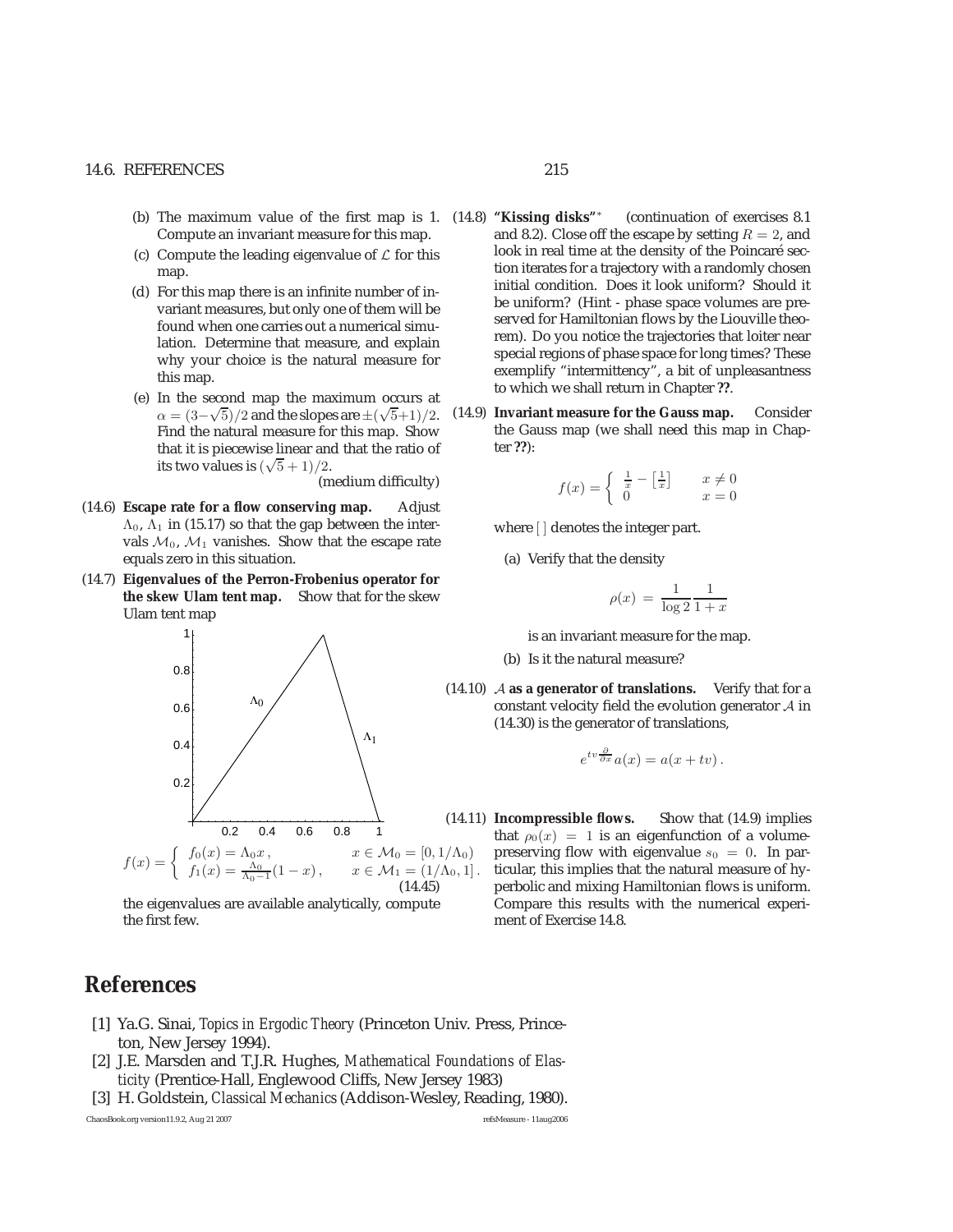#### 14.6. REFERENCES 215

- (b) The maximum value of the first map is 1.  $(14.8)$  "Kissing disks"<sup>\*</sup> Compute an invariant measure for this map.
- (c) Compute the leading eigenvalue of  $\mathcal L$  for this map.
- (d) For this map there is an infinite number of invariant measures, but only one of them will be found when one carries out a numerical simulation. Determine that measure, and explain why your choice is the natural measure for this map.
- (e) In the second map the maximum occurs at  $\alpha = (3-\sqrt{5})/2$  and the slopes are  $\pm (\sqrt{5}+1)/2$ .<br>Find the natural measure for this man. Show Find the natural measure for this map. Show that it is piecewise linear and that the ratio of its two values is  $(\sqrt{5} + 1)/2$ . (medium difficulty)

- (14.6) **Escape rate for a flow conserving map.** Adjust  $Λ_0$ ,  $Λ_1$  in (15.17) so that the gap between the intervals  $\mathcal{M}_0$ ,  $\mathcal{M}_1$  vanishes. Show that the escape rate equals zero in this situation.
- (14.7) **Eigenvalues of the Perron-Frobenius operator for the skew Ulam tent map.** Show that for the skew Ulam tent map



the eigenvalues are available analytically, compute the first few.

#### (continuation of exercises 8.1 and 8.2). Close off the escape by setting  $R = 2$ , and look in real time at the density of the Poincaré section iterates for a trajectory with a randomly chosen initial condition. Does it look uniform? Should it be uniform? (Hint - phase space volumes are preserved for Hamiltonian flows by the Liouville theorem). Do you notice the trajectories that loiter near special regions of phase space for long times? These exemplify "intermittency", a bit of unpleasantness to which we shall return in Chapter **??**.

(14.9) **Invariant measure for the Gauss map.** Consider the Gauss map (we shall need this map in Chapter **??**):

$$
f(x) = \begin{cases} \frac{1}{x} - \left[\frac{1}{x}\right] & x \neq 0\\ 0 & x = 0 \end{cases}
$$

where [ ] denotes the integer part.

(a) Verify that the density

$$
\rho(x) = \frac{1}{\log 2} \frac{1}{1+x}
$$

is an invariant measure for the map.

- (b) Is it the natural measure?
- (14.10) A **as a generator of translations.** Verify that for a constant velocity field the evolution generator A in (14.30) is the generator of translations,

$$
e^{tv\frac{\partial}{\partial x}}a(x) = a(x+tv).
$$

(14.11) **Incompressible flows.** Show that (14.9) implies that  $\rho_0(x)=1$  is an eigenfunction of a volumepreserving flow with eigenvalue  $s_0 = 0$ . In particular, this implies that the natural measure of hyperbolic and mixing Hamiltonian flows is uniform. Compare this results with the numerical experiment of Exercise 14.8.

# **References**

- [1] Ya.G. Sinai, *Topics in Ergodic Theory* (Princeton Univ. Press, Princeton, New Jersey 1994).
- [2] J.E. Marsden and T.J.R. Hughes, *Mathematical Foundations of Elasticity* (Prentice-Hall, Englewood Cliffs, New Jersey 1983)
- [3] H. Goldstein, *Classical Mechanics*(Addison-Wesley, Reading, 1980). ChaosBook.org version11.9.2, Aug 21 2007 refsMeasure - 11aug2006